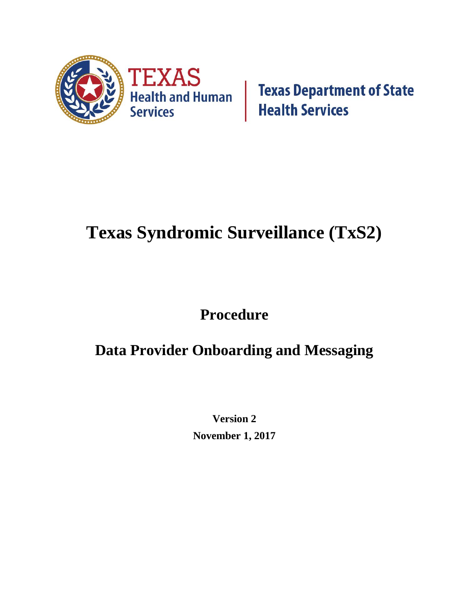

**Texas Department of State Health Services** 

# **Texas Syndromic Surveillance (TxS2)**

## **Procedure**

## **Data Provider Onboarding and Messaging**

**Version 2 November 1, 2017**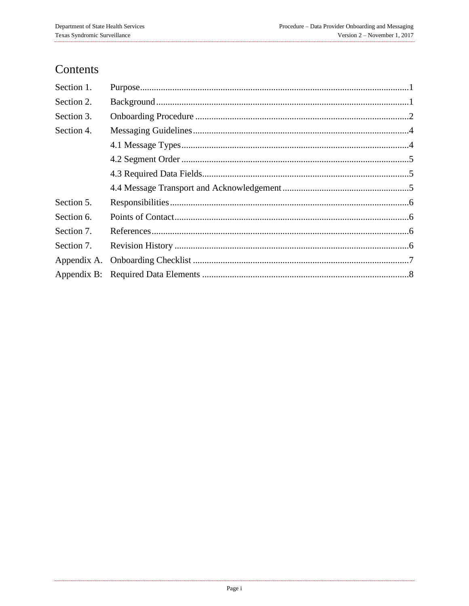## Contents

| Section 1.  |  |
|-------------|--|
| Section 2.  |  |
| Section 3.  |  |
| Section 4.  |  |
|             |  |
|             |  |
|             |  |
|             |  |
| Section 5.  |  |
| Section 6.  |  |
| Section 7.  |  |
| Section 7.  |  |
| Appendix A. |  |
|             |  |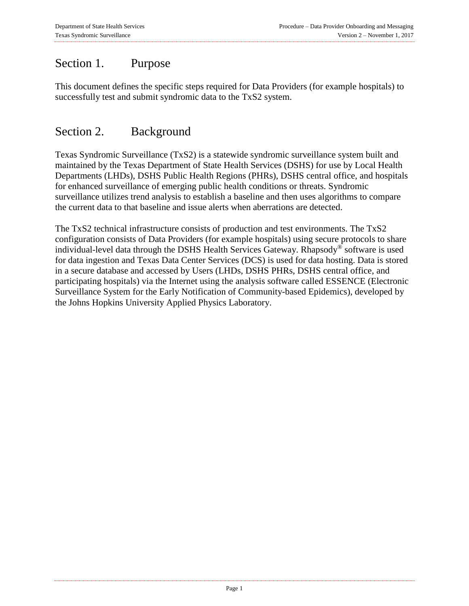### <span id="page-2-0"></span>Section 1. Purpose

This document defines the specific steps required for Data Providers (for example hospitals) to successfully test and submit syndromic data to the TxS2 system.

#### <span id="page-2-1"></span>Section 2. Background

Texas Syndromic Surveillance (TxS2) is a statewide syndromic surveillance system built and maintained by the Texas Department of State Health Services (DSHS) for use by Local Health Departments (LHDs), DSHS Public Health Regions (PHRs), DSHS central office, and hospitals for enhanced surveillance of emerging public health conditions or threats. Syndromic surveillance utilizes trend analysis to establish a baseline and then uses algorithms to compare the current data to that baseline and issue alerts when aberrations are detected.

The TxS2 technical infrastructure consists of production and test environments. The TxS2 configuration consists of Data Providers (for example hospitals) using secure protocols to share individual-level data through the DSHS Health Services Gateway. Rhapsody® software is used for data ingestion and Texas Data Center Services (DCS) is used for data hosting. Data is stored in a secure database and accessed by Users (LHDs, DSHS PHRs, DSHS central office, and participating hospitals) via the Internet using the analysis software called ESSENCE (Electronic Surveillance System for the Early Notification of Community-based Epidemics), developed by the Johns Hopkins University Applied Physics Laboratory.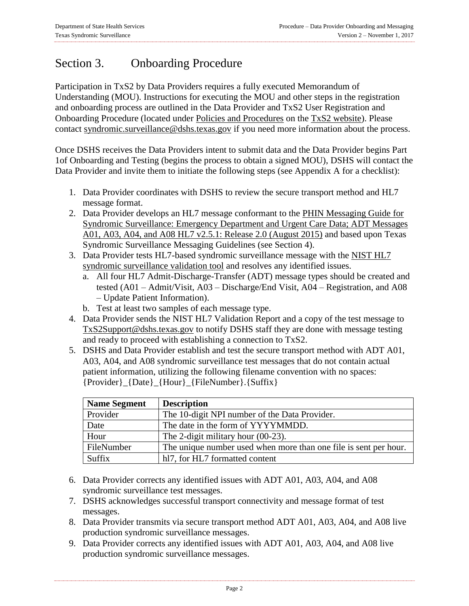## <span id="page-3-0"></span>Section 3. Onboarding Procedure

Participation in TxS2 by Data Providers requires a fully executed Memorandum of Understanding (MOU). Instructions for executing the MOU and other steps in the registration and onboarding process are outlined in the Data Provider and TxS2 User Registration and Onboarding Procedure (located under [Policies and Procedures](http://www.dshs.texas.gov/txs2/default.aspx#Policies) on the [TxS2 website\)](http://www.dshs.texas.gov/txs2/). Please contact syndromic.surveillance@dshs.texas.gov if you need more information about the process.

Once DSHS receives the Data Providers intent to submit data and the Data Provider begins Part 1of Onboarding and Testing (begins the process to obtain a signed MOU), DSHS will contact the Data Provider and invite them to initiate the following steps (see Appendix A for a checklist):

- 1. Data Provider coordinates with DSHS to review the secure transport method and HL7 message format.
- 2. Data Provider develops an HL7 message conformant to the PHIN Messaging Guide for [Syndromic Surveillance: Emergency Department and Urgent Care Data; ADT Messages](https://www.cdc.gov/phin/resources/phinguides.html#SS)  [A01, A03, A04, and A08 HL7 v2.5.1: Release 2.0 \(August 2015\)](https://www.cdc.gov/phin/resources/phinguides.html#SS) and based upon Texas Syndromic Surveillance Messaging Guidelines (see Section 4).
- 3. Data Provider tests HL7-based syndromic surveillance message with the [NIST HL7](http://hl7v2-ss-r2-testing.nist.gov/ss-r2/#/home)  [syndromic surveillance validation tool](http://hl7v2-ss-r2-testing.nist.gov/ss-r2/#/home) and resolves any identified issues.
	- a. All four HL7 Admit-Discharge-Transfer (ADT) message types should be created and tested (A01 – Admit/Visit, A03 – Discharge/End Visit, A04 – Registration, and A08 – Update Patient Information).
	- b. Test at least two samples of each message type.
- 4. Data Provider sends the NIST HL7 Validation Report and a copy of the test message to [TxS2Support@dshs.texas.gov](mailto:TxS2Support@dshs.texas.gov) to notify DSHS staff they are done with message testing and ready to proceed with establishing a connection to TxS2.
- 5. DSHS and Data Provider establish and test the secure transport method with ADT A01, A03, A04, and A08 syndromic surveillance test messages that do not contain actual patient information, utilizing the following filename convention with no spaces: {Provider}\_{Date}\_{Hour}\_{FileNumber}.{Suffix}

| <b>Name Segment</b> | <b>Description</b>                                               |
|---------------------|------------------------------------------------------------------|
| Provider            | The 10-digit NPI number of the Data Provider.                    |
| Date                | The date in the form of YYYYMMDD.                                |
| Hour                | The 2-digit military hour $(00-23)$ .                            |
| FileNumber          | The unique number used when more than one file is sent per hour. |
| Suffix              | hl7, for HL7 formatted content                                   |

- 6. Data Provider corrects any identified issues with ADT A01, A03, A04, and A08 syndromic surveillance test messages.
- 7. DSHS acknowledges successful transport connectivity and message format of test messages.
- 8. Data Provider transmits via secure transport method ADT A01, A03, A04, and A08 live production syndromic surveillance messages.
- 9. Data Provider corrects any identified issues with ADT A01, A03, A04, and A08 live production syndromic surveillance messages.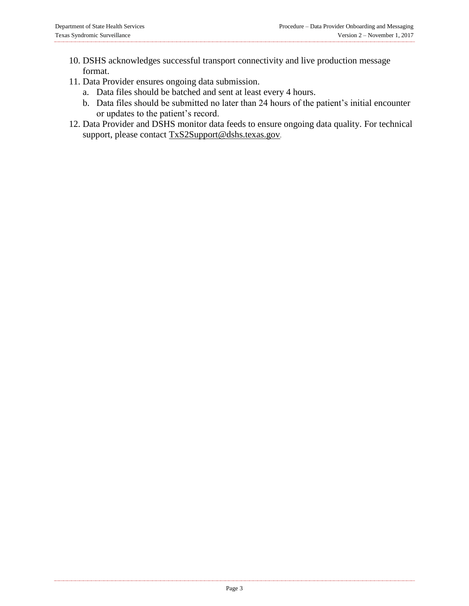- 10. DSHS acknowledges successful transport connectivity and live production message format.
- 11. Data Provider ensures ongoing data submission.
	- a. Data files should be batched and sent at least every 4 hours.
	- b. Data files should be submitted no later than 24 hours of the patient's initial encounter or updates to the patient's record.
- 12. Data Provider and DSHS monitor data feeds to ensure ongoing data quality. For technical support, please contact [TxS2Support@dshs.texas.gov](mailto:TxS2Support@dshs.texas.gov).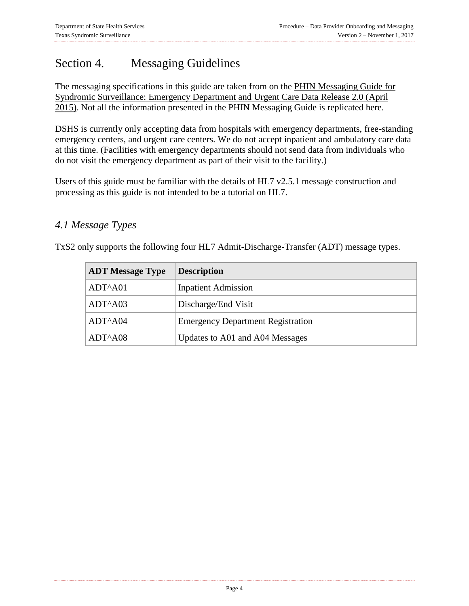## <span id="page-5-0"></span>Section 4. Messaging Guidelines

The messaging specifications in this guide are taken from on the [PHIN Messaging Guide for](https://www.cdc.gov/phin/resources/phinguides.html#SS)  [Syndromic Surveillance: Emergency Department and Urgent Care Data Release 2.0 \(April](https://www.cdc.gov/phin/resources/phinguides.html#SS)  [2015\).](https://www.cdc.gov/phin/resources/phinguides.html#SS) Not all the information presented in the PHIN Messaging Guide is replicated here.

DSHS is currently only accepting data from hospitals with emergency departments, free-standing emergency centers, and urgent care centers. We do not accept inpatient and ambulatory care data at this time. (Facilities with emergency departments should not send data from individuals who do not visit the emergency department as part of their visit to the facility.)

Users of this guide must be familiar with the details of HL7 v2.5.1 message construction and processing as this guide is not intended to be a tutorial on HL7.

#### <span id="page-5-1"></span>*4.1 Message Types*

TxS2 only supports the following four HL7 Admit-Discharge-Transfer (ADT) message types.

| <b>ADT Message Type</b> | <b>Description</b>                       |
|-------------------------|------------------------------------------|
| $ADT^A A01$             | <b>Inpatient Admission</b>               |
| $ADT^AAO3$              | Discharge/End Visit                      |
| ADT^A04                 | <b>Emergency Department Registration</b> |
| ADT <sup>^</sup> A08    | Updates to A01 and A04 Messages          |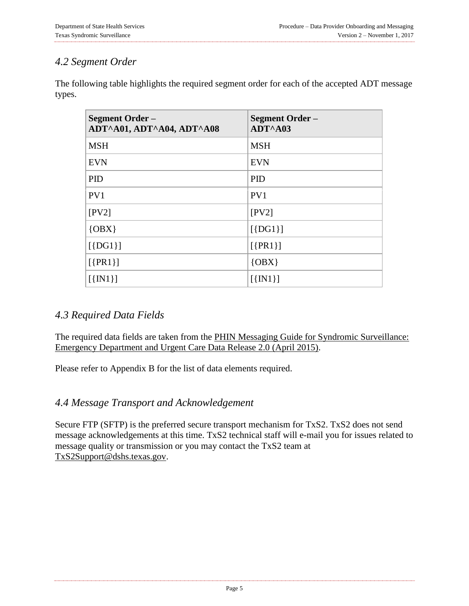#### <span id="page-6-0"></span>*4.2 Segment Order*

The following table highlights the required segment order for each of the accepted ADT message types.

| <b>Segment Order –</b><br>ADT^A01, ADT^A04, ADT^A08 | Segment Order –<br>ADT^A03 |
|-----------------------------------------------------|----------------------------|
| <b>MSH</b>                                          | <b>MSH</b>                 |
| <b>EVN</b>                                          | <b>EVN</b>                 |
| <b>PID</b>                                          | <b>PID</b>                 |
| PV1                                                 | PV1                        |
| [PV2]                                               | [PV2]                      |
| ${OBX}$                                             | $[\{DG1\}]$                |
| $[\{DG1\}]$                                         | $[\{PR1\}]$                |
| $[\{PR1\}]$                                         | $\{OBX\}$                  |
| $[\{IN1\}]$                                         | $[\{IN1\}]$                |

#### <span id="page-6-1"></span>*4.3 Required Data Fields*

The required data fields are taken from the [PHIN Messaging Guide for Syndromic Surveillance:](https://www.cdc.gov/phin/resources/phinguides.html#SS)  [Emergency Department and Urgent Care Data Release 2.0 \(April 2015\).](https://www.cdc.gov/phin/resources/phinguides.html#SS)

Please refer to Appendix B for the list of data elements required.

#### <span id="page-6-2"></span>*4.4 Message Transport and Acknowledgement*

Secure FTP (SFTP) is the preferred secure transport mechanism for TxS2. TxS2 does not send message acknowledgements at this time. TxS2 technical staff will e-mail you for issues related to message quality or transmission or you may contact the TxS2 team at [TxS2Support@dshs.texas.gov.](mailto:TxS2Support@dshs.texas.gov)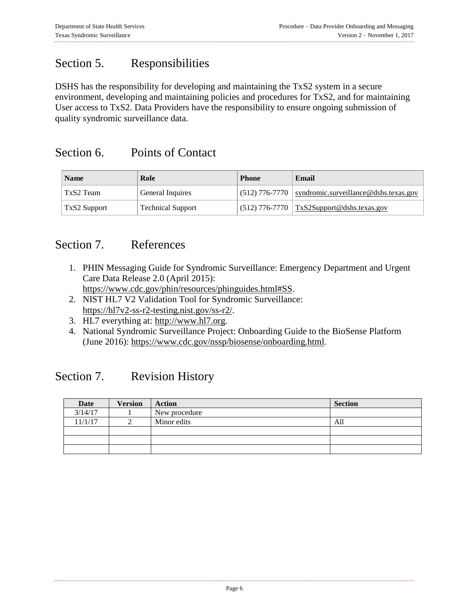### <span id="page-7-0"></span>Section 5. Responsibilities

DSHS has the responsibility for developing and maintaining the TxS2 system in a secure environment, developing and maintaining policies and procedures for TxS2, and for maintaining User access to TxS2. Data Providers have the responsibility to ensure ongoing submission of quality syndromic surveillance data.

#### <span id="page-7-1"></span>Section 6. Points of Contact

| <b>Name</b>  | Role                     | <b>Phone</b> | Email                                                                 |
|--------------|--------------------------|--------------|-----------------------------------------------------------------------|
| TxS2 Team    | General Inquires         |              | $\vert$ (512) 776-7770 $\vert$ syndromic.surveillance @dshs.texas.gov |
| TxS2 Support | <b>Technical Support</b> |              | $\vert$ (512) 776-7770 $\vert$ TxS2Support@dshs.texas.gov             |

#### <span id="page-7-2"></span>Section 7. References

- 1. PHIN Messaging Guide for Syndromic Surveillance: Emergency Department and Urgent Care Data Release 2.0 (April 2015):
- [https://www.cdc.gov/phin/resources/phinguides.html#SS.](https://www.cdc.gov/phin/resources/phinguides.html#SS)
- 2. NIST HL7 V2 Validation Tool for Syndromic Surveillance: [https://hl7v2-ss-r2-testing.nist.gov/ss-r2/.](https://hl7v2-ss-r2-testing.nist.gov/ss-r2/)
- 3. HL7 everything at: [http://www.hl7.org.](http://www.hl7.org/)
- 4. National Syndromic Surveillance Project: Onboarding Guide to the BioSense Platform (June 2016): [https://www.cdc.gov/nssp/biosense/onboarding.html.](https://www.cdc.gov/nssp/biosense/onboarding.html)

#### <span id="page-7-3"></span>Section 7. Revision History

| Date    | <b>Version</b> | Action        | <b>Section</b> |
|---------|----------------|---------------|----------------|
| 3/14/17 |                | New procedure |                |
| 11/1/17 |                | Minor edits   | All            |
|         |                |               |                |
|         |                |               |                |
|         |                |               |                |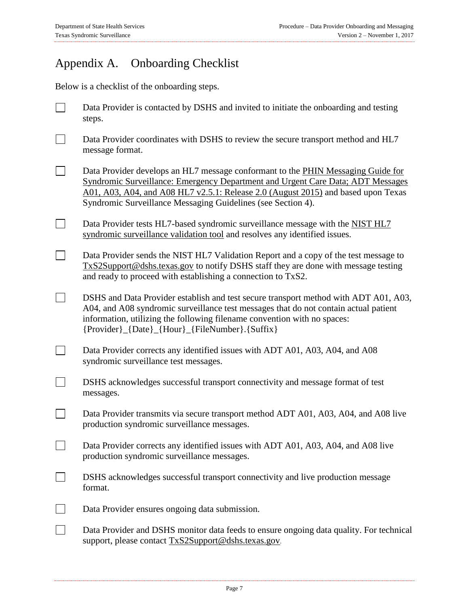$\Box$ 

## <span id="page-8-0"></span>Appendix A. Onboarding Checklist

Below is a checklist of the onboarding steps.

- Data Provider is contacted by DSHS and invited to initiate the onboarding and testing  $\blacksquare$ steps.
- $\Box$ Data Provider coordinates with DSHS to review the secure transport method and HL7 message format.
- $\Box$ Data Provider develops an HL7 message conformant to the [PHIN Messaging Guide for](https://www.cdc.gov/phin/resources/phinguides.html#SS)  [Syndromic Surveillance: Emergency Department and Urgent Care Data; ADT Messages](https://www.cdc.gov/phin/resources/phinguides.html#SS)  [A01, A03, A04, and A08 HL7 v2.5.1: Release 2.0 \(August 2015\)](https://www.cdc.gov/phin/resources/phinguides.html#SS) and based upon Texas Syndromic Surveillance Messaging Guidelines (see Section 4).
- $\Box$ Data Provider tests HL7-based syndromic surveillance message with the [NIST HL7](http://hl7v2-ss-r2-testing.nist.gov/ss-r2/#/home)  [syndromic surveillance validation tool](http://hl7v2-ss-r2-testing.nist.gov/ss-r2/#/home) and resolves any identified issues.
- $\Box$ Data Provider sends the NIST HL7 Validation Report and a copy of the test message to [TxS2Support@dshs.texas.gov](mailto:TxS2Support@dshs.texas.gov) to notify DSHS staff they are done with message testing and ready to proceed with establishing a connection to TxS2.
- $\Box$ DSHS and Data Provider establish and test secure transport method with ADT A01, A03, A04, and A08 syndromic surveillance test messages that do not contain actual patient information, utilizing the following filename convention with no spaces: {Provider}\_{Date}\_{Hour}\_{FileNumber}.{Suffix}
- $\Box$ Data Provider corrects any identified issues with ADT A01, A03, A04, and A08 syndromic surveillance test messages.
- $\Box$ DSHS acknowledges successful transport connectivity and message format of test messages.
	- Data Provider transmits via secure transport method ADT A01, A03, A04, and A08 live production syndromic surveillance messages.
- ┓. Data Provider corrects any identified issues with ADT A01, A03, A04, and A08 live production syndromic surveillance messages.
- $\Box$ DSHS acknowledges successful transport connectivity and live production message format.
- $\Box$ Data Provider ensures ongoing data submission.
- $\Box$ Data Provider and DSHS monitor data feeds to ensure ongoing data quality. For technical support, please contact [TxS2Support@dshs.texas.gov](mailto:TxS2Support@dshs.texas.gov).